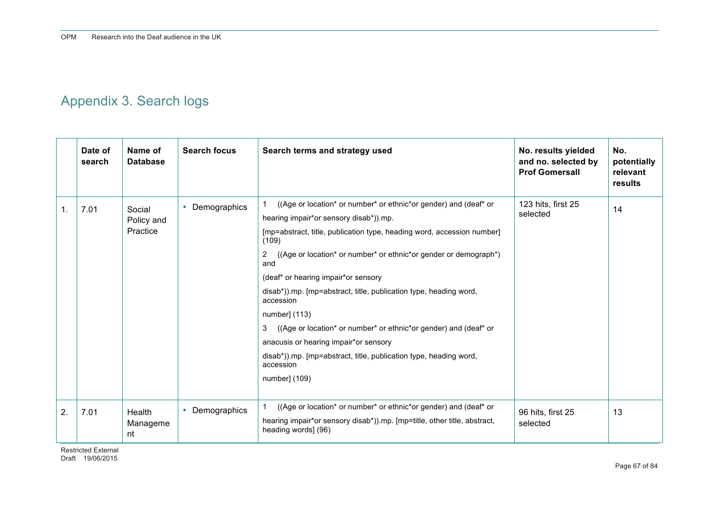# Appendix 3. Search logs

|                | Date of<br>search | Name of<br><b>Database</b>       | <b>Search focus</b>       | Search terms and strategy used                                                                                                                                                                                                                                                                                                                                                                                                                                                                                                                                                                                                               | No. results yielded<br>and no. selected by<br><b>Prof Gomersall</b> | No.<br>potentially<br>relevant<br>results |
|----------------|-------------------|----------------------------------|---------------------------|----------------------------------------------------------------------------------------------------------------------------------------------------------------------------------------------------------------------------------------------------------------------------------------------------------------------------------------------------------------------------------------------------------------------------------------------------------------------------------------------------------------------------------------------------------------------------------------------------------------------------------------------|---------------------------------------------------------------------|-------------------------------------------|
| $\mathbf{1}$ . | 7.01              | Social<br>Policy and<br>Practice | Demographics<br>$\bullet$ | ((Age or location* or number* or ethnic*or gender) and (deaf* or<br>hearing impair*or sensory disab*)).mp.<br>[mp=abstract, title, publication type, heading word, accession number]<br>(109)<br>((Age or location* or number* or ethnic*or gender or demograph*)<br>2<br>and<br>(deaf* or hearing impair*or sensory<br>disab*)).mp. [mp=abstract, title, publication type, heading word,<br>accession<br>number] (113)<br>((Age or location* or number* or ethnic*or gender) and (deaf* or<br>3<br>anacusis or hearing impair*or sensory<br>disab*)).mp. [mp=abstract, title, publication type, heading word,<br>accession<br>number] (109) | 123 hits, first 25<br>selected                                      | 14                                        |
| 2.             | 7.01              | <b>Health</b><br>Manageme<br>nt  | Demographics<br>$\bullet$ | ((Age or location* or number* or ethnic*or gender) and (deaf* or<br>hearing impair*or sensory disab*)).mp. [mp=title, other title, abstract,<br>heading words] (96)                                                                                                                                                                                                                                                                                                                                                                                                                                                                          | 96 hits, first 25<br>selected                                       | 13                                        |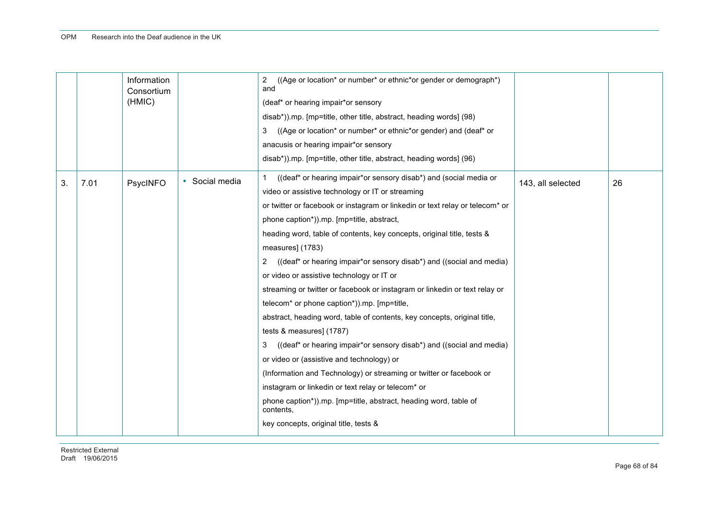|    |      | Information<br>Consortium<br>(HMIC) |                | ((Age or location* or number* or ethnic*or gender or demograph*)<br>2<br>and<br>(deaf* or hearing impair*or sensory<br>disab*)).mp. [mp=title, other title, abstract, heading words] (98)<br>((Age or location* or number* or ethnic*or gender) and (deaf* or<br>3<br>anacusis or hearing impair*or sensory<br>disab*)).mp. [mp=title, other title, abstract, heading words] (96)                                                                                                                                                                                                                                                                                                                                                                                                                                                                                                                                                                                                                                                                                                             |                   |    |
|----|------|-------------------------------------|----------------|-----------------------------------------------------------------------------------------------------------------------------------------------------------------------------------------------------------------------------------------------------------------------------------------------------------------------------------------------------------------------------------------------------------------------------------------------------------------------------------------------------------------------------------------------------------------------------------------------------------------------------------------------------------------------------------------------------------------------------------------------------------------------------------------------------------------------------------------------------------------------------------------------------------------------------------------------------------------------------------------------------------------------------------------------------------------------------------------------|-------------------|----|
| 3. | 7.01 | PsycINFO                            | • Social media | ((deaf* or hearing impair*or sensory disab*) and (social media or<br>video or assistive technology or IT or streaming<br>or twitter or facebook or instagram or linkedin or text relay or telecom* or<br>phone caption*)).mp. [mp=title, abstract,<br>heading word, table of contents, key concepts, original title, tests &<br>measures] (1783)<br>2 ((deaf* or hearing impair*or sensory disab*) and ((social and media)<br>or video or assistive technology or IT or<br>streaming or twitter or facebook or instagram or linkedin or text relay or<br>telecom* or phone caption*)).mp. [mp=title,<br>abstract, heading word, table of contents, key concepts, original title,<br>tests & measures] (1787)<br>((deaf* or hearing impair*or sensory disab*) and ((social and media)<br>3<br>or video or (assistive and technology) or<br>(Information and Technology) or streaming or twitter or facebook or<br>instagram or linkedin or text relay or telecom* or<br>phone caption*)).mp. [mp=title, abstract, heading word, table of<br>contents.<br>key concepts, original title, tests & | 143, all selected | 26 |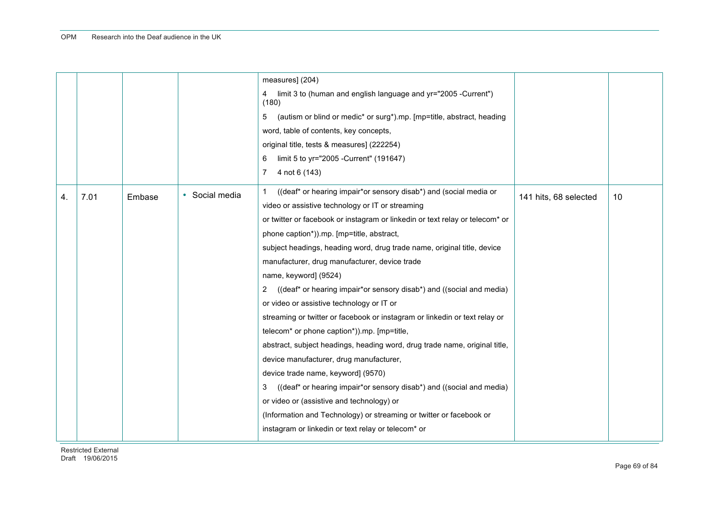|    |      |        |              | measures] (204)<br>limit 3 to (human and english language and yr="2005 -Current")<br>4<br>(180)<br>(autism or blind or medic* or surg*).mp. [mp=title, abstract, heading<br>5<br>word, table of contents, key concepts,<br>original title, tests & measures] (222254)<br>limit 5 to yr="2005 - Current" (191647)<br>6<br>7<br>4 not 6 (143)                                                                                                                                                                                                                                                                                                                                                                                                                                                                                                                                                                                                                                                                                                                                          |                       |    |
|----|------|--------|--------------|--------------------------------------------------------------------------------------------------------------------------------------------------------------------------------------------------------------------------------------------------------------------------------------------------------------------------------------------------------------------------------------------------------------------------------------------------------------------------------------------------------------------------------------------------------------------------------------------------------------------------------------------------------------------------------------------------------------------------------------------------------------------------------------------------------------------------------------------------------------------------------------------------------------------------------------------------------------------------------------------------------------------------------------------------------------------------------------|-----------------------|----|
| 4. | 7.01 | Embase | Social media | ((deaf* or hearing impair*or sensory disab*) and (social media or<br>video or assistive technology or IT or streaming<br>or twitter or facebook or instagram or linkedin or text relay or telecom* or<br>phone caption*)).mp. [mp=title, abstract,<br>subject headings, heading word, drug trade name, original title, device<br>manufacturer, drug manufacturer, device trade<br>name, keyword] (9524)<br>((deaf* or hearing impair*or sensory disab*) and ((social and media)<br>2<br>or video or assistive technology or IT or<br>streaming or twitter or facebook or instagram or linkedin or text relay or<br>telecom* or phone caption*)).mp. [mp=title,<br>abstract, subject headings, heading word, drug trade name, original title,<br>device manufacturer, drug manufacturer,<br>device trade name, keyword] (9570)<br>((deaf* or hearing impair*or sensory disab*) and ((social and media)<br>3<br>or video or (assistive and technology) or<br>(Information and Technology) or streaming or twitter or facebook or<br>instagram or linkedin or text relay or telecom* or | 141 hits, 68 selected | 10 |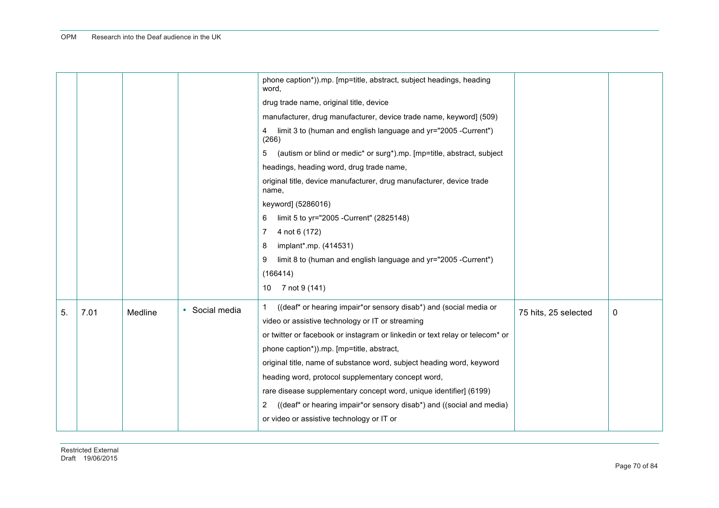|    |      |         |              | phone caption*)).mp. [mp=title, abstract, subject headings, heading<br>word,  |                      |   |
|----|------|---------|--------------|-------------------------------------------------------------------------------|----------------------|---|
|    |      |         |              | drug trade name, original title, device                                       |                      |   |
|    |      |         |              | manufacturer, drug manufacturer, device trade name, keyword] (509)            |                      |   |
|    |      |         |              | limit 3 to (human and english language and yr="2005 -Current")<br>4<br>(266)  |                      |   |
|    |      |         |              | 5<br>(autism or blind or medic* or surg*).mp. [mp=title, abstract, subject    |                      |   |
|    |      |         |              | headings, heading word, drug trade name,                                      |                      |   |
|    |      |         |              | original title, device manufacturer, drug manufacturer, device trade<br>name, |                      |   |
|    |      |         |              | keyword] (5286016)                                                            |                      |   |
|    |      |         |              | limit 5 to yr="2005 - Current" (2825148)<br>6                                 |                      |   |
|    |      |         |              | 4 not 6 (172)<br>7                                                            |                      |   |
|    |      |         |              | implant*.mp. (414531)<br>8                                                    |                      |   |
|    |      |         |              | limit 8 to (human and english language and yr="2005 -Current")<br>9           |                      |   |
|    |      |         |              | (166414)                                                                      |                      |   |
|    |      |         |              | 10 7 not 9 (141)                                                              |                      |   |
| 5. | 7.01 | Medline | Social media | ((deaf* or hearing impair*or sensory disab*) and (social media or             | 75 hits, 25 selected | 0 |
|    |      |         |              | video or assistive technology or IT or streaming                              |                      |   |
|    |      |         |              | or twitter or facebook or instagram or linkedin or text relay or telecom* or  |                      |   |
|    |      |         |              | phone caption*)).mp. [mp=title, abstract,                                     |                      |   |
|    |      |         |              | original title, name of substance word, subject heading word, keyword         |                      |   |
|    |      |         |              | heading word, protocol supplementary concept word,                            |                      |   |
|    |      |         |              | rare disease supplementary concept word, unique identifier] (6199)            |                      |   |
|    |      |         |              | ((deaf* or hearing impair*or sensory disab*) and ((social and media)<br>2     |                      |   |
|    |      |         |              | or video or assistive technology or IT or                                     |                      |   |
|    |      |         |              |                                                                               |                      |   |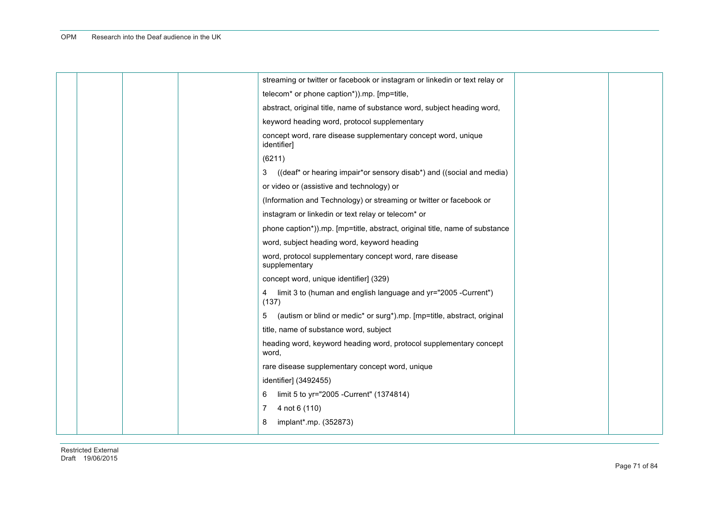|  |  | streaming or twitter or facebook or instagram or linkedin or text relay or   |  |
|--|--|------------------------------------------------------------------------------|--|
|  |  | telecom* or phone caption*)).mp. [mp=title,                                  |  |
|  |  | abstract, original title, name of substance word, subject heading word,      |  |
|  |  | keyword heading word, protocol supplementary                                 |  |
|  |  | concept word, rare disease supplementary concept word, unique<br>identifier] |  |
|  |  | (6211)                                                                       |  |
|  |  | ((deaf* or hearing impair*or sensory disab*) and ((social and media)<br>3    |  |
|  |  | or video or (assistive and technology) or                                    |  |
|  |  | (Information and Technology) or streaming or twitter or facebook or          |  |
|  |  | instagram or linkedin or text relay or telecom* or                           |  |
|  |  | phone caption*)).mp. [mp=title, abstract, original title, name of substance  |  |
|  |  | word, subject heading word, keyword heading                                  |  |
|  |  | word, protocol supplementary concept word, rare disease<br>supplementary     |  |
|  |  | concept word, unique identifier] (329)                                       |  |
|  |  | 4 limit 3 to (human and english language and yr="2005 -Current")<br>(137)    |  |
|  |  | (autism or blind or medic* or surg*).mp. [mp=title, abstract, original<br>5  |  |
|  |  | title, name of substance word, subject                                       |  |
|  |  | heading word, keyword heading word, protocol supplementary concept<br>word,  |  |
|  |  | rare disease supplementary concept word, unique                              |  |
|  |  | identifier] (3492455)                                                        |  |
|  |  | limit 5 to yr="2005 - Current" (1374814)<br>6                                |  |
|  |  | 4 not 6 (110)<br>7                                                           |  |
|  |  | implant*.mp. (352873)<br>8                                                   |  |
|  |  |                                                                              |  |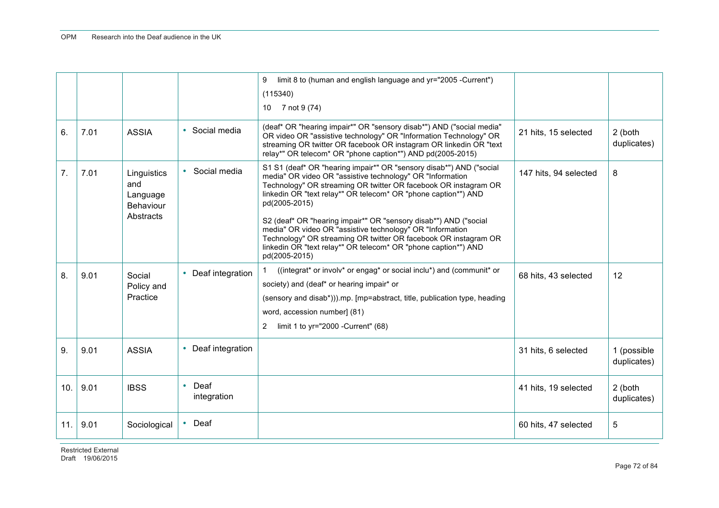|                 |      |                                                                 |                                  | limit 8 to (human and english language and yr="2005 -Current")<br>9<br>(115340)                                                                                                                                                                                                                                                                                                                                                                                                                                                                                               |                       |                            |
|-----------------|------|-----------------------------------------------------------------|----------------------------------|-------------------------------------------------------------------------------------------------------------------------------------------------------------------------------------------------------------------------------------------------------------------------------------------------------------------------------------------------------------------------------------------------------------------------------------------------------------------------------------------------------------------------------------------------------------------------------|-----------------------|----------------------------|
|                 |      |                                                                 |                                  | 10 7 not 9 (74)                                                                                                                                                                                                                                                                                                                                                                                                                                                                                                                                                               |                       |                            |
| 6.              | 7.01 | <b>ASSIA</b>                                                    | • Social media                   | (deaf* OR "hearing impair*" OR "sensory disab*") AND ("social media"<br>OR video OR "assistive technology" OR "Information Technology" OR<br>streaming OR twitter OR facebook OR instagram OR linkedin OR "text<br>relay*" OR telecom* OR "phone caption*") AND pd(2005-2015)                                                                                                                                                                                                                                                                                                 | 21 hits, 15 selected  | 2 (both<br>duplicates)     |
| 7 <sub>1</sub>  | 7.01 | Linguistics<br>and<br>Language<br><b>Behaviour</b><br>Abstracts | • Social media                   | S1 S1 (deaf* OR "hearing impair*" OR "sensory disab*") AND ("social<br>media" OR video OR "assistive technology" OR "Information<br>Technology" OR streaming OR twitter OR facebook OR instagram OR<br>linkedin OR "text relay*" OR telecom* OR "phone caption*") AND<br>pd(2005-2015)<br>S2 (deaf* OR "hearing impair*" OR "sensory disab*") AND ("social<br>media" OR video OR "assistive technology" OR "Information<br>Technology" OR streaming OR twitter OR facebook OR instagram OR<br>linkedin OR "text relay*" OR telecom* OR "phone caption*") AND<br>pd(2005-2015) | 147 hits, 94 selected | 8                          |
| 8.              | 9.01 | Social<br>Policy and<br>Practice                                | • Deaf integration               | ((integrat* or involv* or engag* or social inclu*) and (communit* or<br>society) and (deaf* or hearing impair* or<br>(sensory and disab*))).mp. [mp=abstract, title, publication type, heading<br>word, accession number] (81)<br>limit 1 to yr="2000 - Current" (68)<br>$\mathbf{2}^{\circ}$                                                                                                                                                                                                                                                                                 | 68 hits, 43 selected  | 12                         |
| 9.              | 9.01 | <b>ASSIA</b>                                                    | • Deaf integration               |                                                                                                                                                                                                                                                                                                                                                                                                                                                                                                                                                                               | 31 hits, 6 selected   | 1 (possible<br>duplicates) |
| 10 <sub>1</sub> | 9.01 | <b>IBSS</b>                                                     | Deaf<br>$\bullet$<br>integration |                                                                                                                                                                                                                                                                                                                                                                                                                                                                                                                                                                               | 41 hits, 19 selected  | 2 (both<br>duplicates)     |
| 11.             | 9.01 | Sociological                                                    | $\cdot$ Deaf                     |                                                                                                                                                                                                                                                                                                                                                                                                                                                                                                                                                                               | 60 hits, 47 selected  | 5                          |

Restricted External Draft 19/06/2015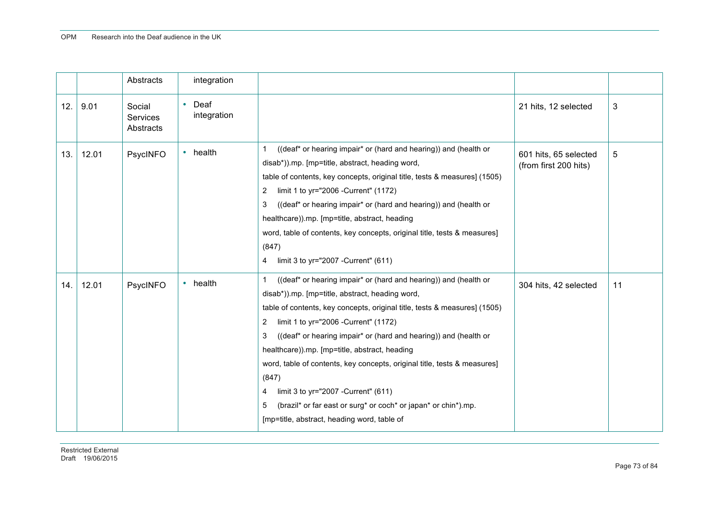|     |       | Abstracts                       | integration                 |                                                                                                                                                                                                                                                                                                                                                                                                                                                                                                                                                                                                                                                  |                                                |    |
|-----|-------|---------------------------------|-----------------------------|--------------------------------------------------------------------------------------------------------------------------------------------------------------------------------------------------------------------------------------------------------------------------------------------------------------------------------------------------------------------------------------------------------------------------------------------------------------------------------------------------------------------------------------------------------------------------------------------------------------------------------------------------|------------------------------------------------|----|
| 12. | 9.01  | Social<br>Services<br>Abstracts | $\cdot$ Deaf<br>integration |                                                                                                                                                                                                                                                                                                                                                                                                                                                                                                                                                                                                                                                  | 21 hits, 12 selected                           | 3  |
| 13. | 12.01 | PsycINFO                        | health<br>$\bullet$         | ((deaf* or hearing impair* or (hard and hearing)) and (health or<br>$\mathbf{1}$<br>disab*)).mp. [mp=title, abstract, heading word,<br>table of contents, key concepts, original title, tests & measures] (1505)<br>limit 1 to yr="2006 - Current" (1172)<br>2<br>((deaf* or hearing impair* or (hard and hearing)) and (health or<br>3<br>healthcare)).mp. [mp=title, abstract, heading<br>word, table of contents, key concepts, original title, tests & measures]<br>(847)<br>limit 3 to yr="2007 - Current" (611)<br>$\overline{4}$                                                                                                          | 601 hits, 65 selected<br>(from first 200 hits) | 5  |
| 14. | 12.01 | PsycINFO                        | health<br>$\bullet$         | ((deaf* or hearing impair* or (hard and hearing)) and (health or<br>$\mathbf{1}$<br>disab*)).mp. [mp=title, abstract, heading word,<br>table of contents, key concepts, original title, tests & measures] (1505)<br>limit 1 to yr="2006 - Current" (1172)<br>2<br>((deaf* or hearing impair* or (hard and hearing)) and (health or<br>3<br>healthcare)).mp. [mp=title, abstract, heading<br>word, table of contents, key concepts, original title, tests & measures]<br>(847)<br>limit 3 to yr="2007 - Current" (611)<br>4<br>(brazil* or far east or surg* or coch* or japan* or chin*).mp.<br>5<br>[mp=title, abstract, heading word, table of | 304 hits, 42 selected                          | 11 |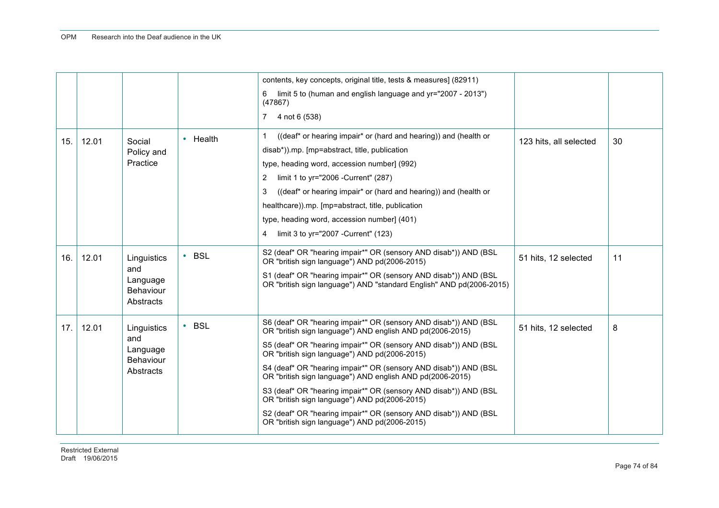|     |       |                                                                 |                         | contents, key concepts, original title, tests & measures] (82911)<br>limit 5 to (human and english language and yr="2007 - 2013")<br>6<br>(47867)<br>7 4 not 6 (538)                                                                                                                                                                                                                                                                                                                                                                                                                                                          |                        |    |
|-----|-------|-----------------------------------------------------------------|-------------------------|-------------------------------------------------------------------------------------------------------------------------------------------------------------------------------------------------------------------------------------------------------------------------------------------------------------------------------------------------------------------------------------------------------------------------------------------------------------------------------------------------------------------------------------------------------------------------------------------------------------------------------|------------------------|----|
| 15. | 12.01 | Social<br>Policy and<br>Practice                                | • Health                | $\mathbf{1}$<br>((deaf* or hearing impair* or (hard and hearing)) and (health or<br>disab*)).mp. [mp=abstract, title, publication<br>type, heading word, accession number] (992)<br>$\overline{2}$<br>limit 1 to yr="2006 -Current" (287)<br>((deaf* or hearing impair* or (hard and hearing)) and (health or<br>3<br>healthcare)).mp. [mp=abstract, title, publication<br>type, heading word, accession number] (401)<br>4<br>limit 3 to yr="2007 - Current" (123)                                                                                                                                                           | 123 hits, all selected | 30 |
| 16. | 12.01 | Linguistics<br>and<br>Language<br><b>Behaviour</b><br>Abstracts | <b>BSL</b><br>$\bullet$ | S2 (deaf* OR "hearing impair*" OR (sensory AND disab*)) AND (BSL<br>OR "british sign language") AND pd(2006-2015)<br>S1 (deaf* OR "hearing impair*" OR (sensory AND disab*)) AND (BSL<br>OR "british sign language") AND "standard English" AND pd(2006-2015)                                                                                                                                                                                                                                                                                                                                                                 | 51 hits, 12 selected   | 11 |
| 17. | 12.01 | Linguistics<br>and<br>Language<br><b>Behaviour</b><br>Abstracts | <b>BSL</b><br>$\bullet$ | S6 (deaf* OR "hearing impair*" OR (sensory AND disab*)) AND (BSL<br>OR "british sign language") AND english AND pd(2006-2015)<br>S5 (deaf* OR "hearing impair*" OR (sensory AND disab*)) AND (BSL<br>OR "british sign language") AND pd(2006-2015)<br>S4 (deaf* OR "hearing impair*" OR (sensory AND disab*)) AND (BSL<br>OR "british sign language") AND english AND pd(2006-2015)<br>S3 (deaf* OR "hearing impair*" OR (sensory AND disab*)) AND (BSL<br>OR "british sign language") AND pd(2006-2015)<br>S2 (deaf* OR "hearing impair*" OR (sensory AND disab*)) AND (BSL<br>OR "british sign language") AND pd(2006-2015) | 51 hits, 12 selected   | 8  |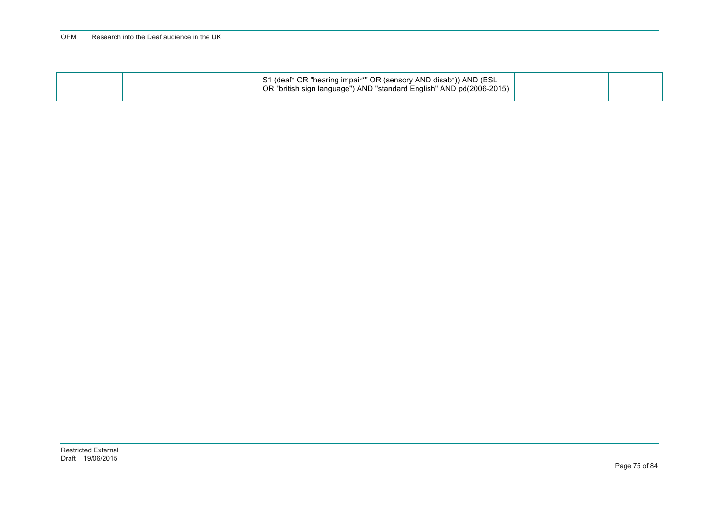#### OPM Research into the Deaf audience in the UK

|  |  | S1 (deaf* OR "hearing impair*" OR (sensory AND disab*)) AND (BSL<br>OR "british sign language") AND "standard English" AND pd(2006-2015) |  |
|--|--|------------------------------------------------------------------------------------------------------------------------------------------|--|
|  |  |                                                                                                                                          |  |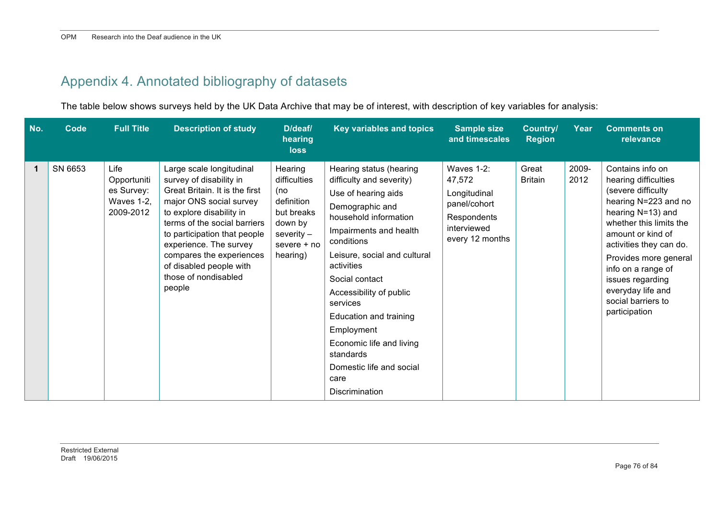## Appendix 4. Annotated bibliography of datasets

The table below shows surveys held by the UK Data Archive that may be of interest, with description of key variables for analysis:

| No. | <b>Code</b> | <b>Full Title</b>                                                   | <b>Description of study</b>                                                                                                                                                                                                                                                                                                     | D/deaf/<br>hearing<br><b>loss</b>                                                                                  | Key variables and topics                                                                                                                                                                                                                                                                                                                                                                                            | <b>Sample size</b><br>and timescales                                                                  | Country/<br><b>Region</b> | Year          | <b>Comments on</b><br>relevance                                                                                                                                                                                                                                                                                       |
|-----|-------------|---------------------------------------------------------------------|---------------------------------------------------------------------------------------------------------------------------------------------------------------------------------------------------------------------------------------------------------------------------------------------------------------------------------|--------------------------------------------------------------------------------------------------------------------|---------------------------------------------------------------------------------------------------------------------------------------------------------------------------------------------------------------------------------------------------------------------------------------------------------------------------------------------------------------------------------------------------------------------|-------------------------------------------------------------------------------------------------------|---------------------------|---------------|-----------------------------------------------------------------------------------------------------------------------------------------------------------------------------------------------------------------------------------------------------------------------------------------------------------------------|
| 1   | SN 6653     | Life<br>Opportuniti<br>es Survey:<br><b>Waves 1-2,</b><br>2009-2012 | Large scale longitudinal<br>survey of disability in<br>Great Britain. It is the first<br>major ONS social survey<br>to explore disability in<br>terms of the social barriers<br>to participation that people<br>experience. The survey<br>compares the experiences<br>of disabled people with<br>those of nondisabled<br>people | Hearing<br>difficulties<br>(no<br>definition<br>but breaks<br>down by<br>severity $-$<br>severe $+$ no<br>hearing) | Hearing status (hearing<br>difficulty and severity)<br>Use of hearing aids<br>Demographic and<br>household information<br>Impairments and health<br>conditions<br>Leisure, social and cultural<br>activities<br>Social contact<br>Accessibility of public<br>services<br>Education and training<br>Employment<br>Economic life and living<br>standards<br>Domestic life and social<br>care<br><b>Discrimination</b> | Waves 1-2:<br>47,572<br>Longitudinal<br>panel/cohort<br>Respondents<br>interviewed<br>every 12 months | Great<br><b>Britain</b>   | 2009-<br>2012 | Contains info on<br>hearing difficulties<br>(severe difficulty<br>hearing N=223 and no<br>hearing N=13) and<br>whether this limits the<br>amount or kind of<br>activities they can do.<br>Provides more general<br>info on a range of<br>issues regarding<br>everyday life and<br>social barriers to<br>participation |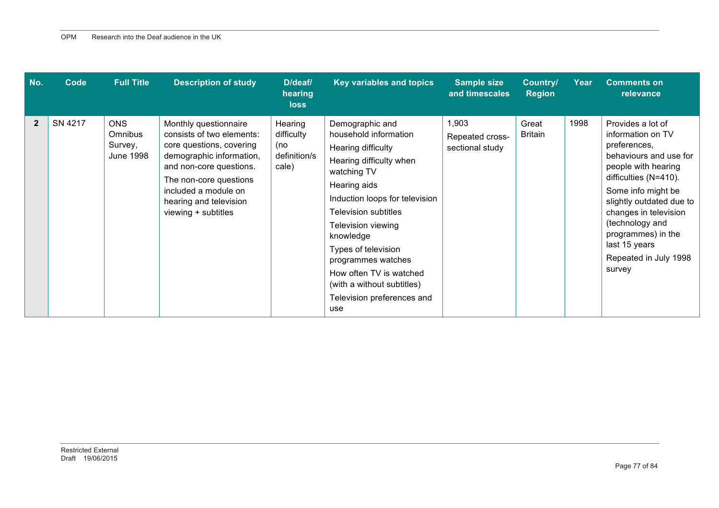| No.            | Code    | <b>Full Title</b>                                           | <b>Description of study</b>                                                                                                                                                                                                              | D/deaf/<br>hearing<br>loss                            | <b>Key variables and topics</b>                                                                                                                                                                                                                                                                                                                                         | <b>Sample size</b><br>and timescales        | Country/<br><b>Region</b> | Year | <b>Comments on</b><br>relevance                                                                                                                                                                                                                                                                          |
|----------------|---------|-------------------------------------------------------------|------------------------------------------------------------------------------------------------------------------------------------------------------------------------------------------------------------------------------------------|-------------------------------------------------------|-------------------------------------------------------------------------------------------------------------------------------------------------------------------------------------------------------------------------------------------------------------------------------------------------------------------------------------------------------------------------|---------------------------------------------|---------------------------|------|----------------------------------------------------------------------------------------------------------------------------------------------------------------------------------------------------------------------------------------------------------------------------------------------------------|
| $\overline{2}$ | SN 4217 | <b>ONS</b><br><b>Omnibus</b><br>Survey,<br><b>June 1998</b> | Monthly questionnaire<br>consists of two elements:<br>core questions, covering<br>demographic information,<br>and non-core questions.<br>The non-core questions<br>included a module on<br>hearing and television<br>viewing + subtitles | Hearing<br>difficulty<br>(no<br>definition/s<br>cale) | Demographic and<br>household information<br>Hearing difficulty<br>Hearing difficulty when<br>watching TV<br>Hearing aids<br>Induction loops for television<br><b>Television subtitles</b><br>Television viewing<br>knowledge<br>Types of television<br>programmes watches<br>How often TV is watched<br>(with a without subtitles)<br>Television preferences and<br>use | 1,903<br>Repeated cross-<br>sectional study | Great<br><b>Britain</b>   | 1998 | Provides a lot of<br>information on TV<br>preferences,<br>behaviours and use for<br>people with hearing<br>difficulties (N=410).<br>Some info might be<br>slightly outdated due to<br>changes in television<br>(technology and<br>programmes) in the<br>last 15 years<br>Repeated in July 1998<br>survey |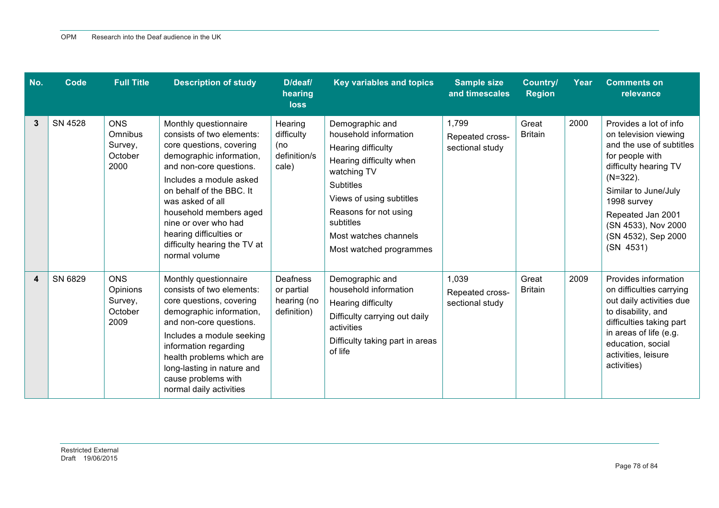| No. | Code    | <b>Full Title</b>                                    | <b>Description of study</b>                                                                                                                                                                                                                                                                                                                    | D/deaf/<br>hearing<br><b>loss</b>                           | Key variables and topics                                                                                                                                                                                                                           | <b>Sample size</b><br>and timescales        | <b>Country/</b><br><b>Region</b> | Year | <b>Comments on</b><br>relevance                                                                                                                                                                                                                               |
|-----|---------|------------------------------------------------------|------------------------------------------------------------------------------------------------------------------------------------------------------------------------------------------------------------------------------------------------------------------------------------------------------------------------------------------------|-------------------------------------------------------------|----------------------------------------------------------------------------------------------------------------------------------------------------------------------------------------------------------------------------------------------------|---------------------------------------------|----------------------------------|------|---------------------------------------------------------------------------------------------------------------------------------------------------------------------------------------------------------------------------------------------------------------|
| 3   | SN 4528 | <b>ONS</b><br>Omnibus<br>Survey,<br>October<br>2000  | Monthly questionnaire<br>consists of two elements:<br>core questions, covering<br>demographic information,<br>and non-core questions.<br>Includes a module asked<br>on behalf of the BBC. It<br>was asked of all<br>household members aged<br>nine or over who had<br>hearing difficulties or<br>difficulty hearing the TV at<br>normal volume | Hearing<br>difficulty<br>(no<br>definition/s<br>cale)       | Demographic and<br>household information<br>Hearing difficulty<br>Hearing difficulty when<br>watching TV<br><b>Subtitles</b><br>Views of using subtitles<br>Reasons for not using<br>subtitles<br>Most watches channels<br>Most watched programmes | 1,799<br>Repeated cross-<br>sectional study | Great<br><b>Britain</b>          | 2000 | Provides a lot of info<br>on television viewing<br>and the use of subtitles<br>for people with<br>difficulty hearing TV<br>$(N=322)$ .<br>Similar to June/July<br>1998 survey<br>Repeated Jan 2001<br>(SN 4533), Nov 2000<br>(SN 4532), Sep 2000<br>(SN 4531) |
| 4   | SN 6829 | <b>ONS</b><br>Opinions<br>Survey,<br>October<br>2009 | Monthly questionnaire<br>consists of two elements:<br>core questions, covering<br>demographic information,<br>and non-core questions.<br>Includes a module seeking<br>information regarding<br>health problems which are<br>long-lasting in nature and<br>cause problems with<br>normal daily activities                                       | <b>Deafness</b><br>or partial<br>hearing (no<br>definition) | Demographic and<br>household information<br>Hearing difficulty<br>Difficulty carrying out daily<br>activities<br>Difficulty taking part in areas<br>of life                                                                                        | 1,039<br>Repeated cross-<br>sectional study | Great<br><b>Britain</b>          | 2009 | Provides information<br>on difficulties carrying<br>out daily activities due<br>to disability, and<br>difficulties taking part<br>in areas of life (e.g.<br>education, social<br>activities, leisure<br>activities)                                           |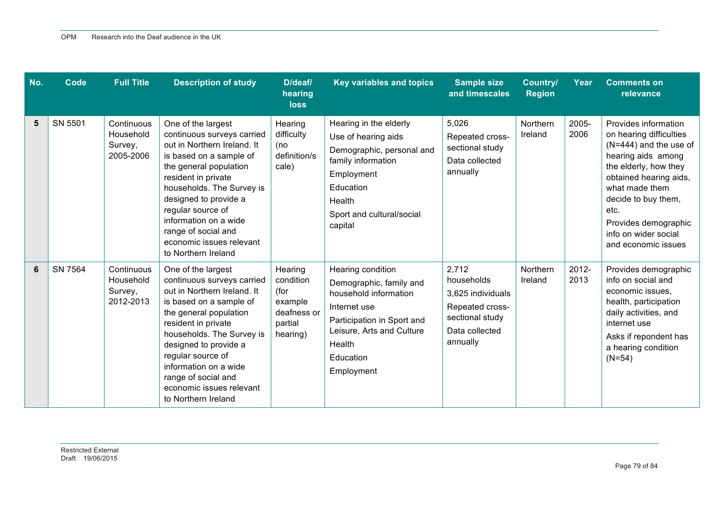| No. | Code    | <b>Full Title</b>                               | <b>Description of study</b>                                                                                                                                                                                                                                                                                                               | D/deaf/<br>hearing<br><b>loss</b>                                             | Key variables and topics                                                                                                                                                                     | <b>Sample size</b><br>and timescales                                                                         | Country/<br><b>Region</b> | Year          | <b>Comments on</b><br>relevance                                                                                                                                                                                                                                              |
|-----|---------|-------------------------------------------------|-------------------------------------------------------------------------------------------------------------------------------------------------------------------------------------------------------------------------------------------------------------------------------------------------------------------------------------------|-------------------------------------------------------------------------------|----------------------------------------------------------------------------------------------------------------------------------------------------------------------------------------------|--------------------------------------------------------------------------------------------------------------|---------------------------|---------------|------------------------------------------------------------------------------------------------------------------------------------------------------------------------------------------------------------------------------------------------------------------------------|
| 5   | SN 5501 | Continuous<br>Household<br>Survey,<br>2005-2006 | One of the largest<br>continuous surveys carried<br>out in Northern Ireland. It<br>is based on a sample of<br>the general population<br>resident in private<br>households. The Survey is<br>designed to provide a<br>regular source of<br>information on a wide<br>range of social and<br>economic issues relevant<br>to Northern Ireland | Hearing<br>difficulty<br>(no<br>definition/s<br>cale)                         | Hearing in the elderly<br>Use of hearing aids<br>Demographic, personal and<br>family information<br>Employment<br>Education<br>Health<br>Sport and cultural/social<br>capital                | 5,026<br>Repeated cross-<br>sectional study<br>Data collected<br>annually                                    | Northern<br>Ireland       | 2005-<br>2006 | Provides information<br>on hearing difficulties<br>$(N=444)$ and the use of<br>hearing aids among<br>the elderly, how they<br>obtained hearing aids,<br>what made them<br>decide to buy them,<br>etc.<br>Provides demographic<br>info on wider social<br>and economic issues |
| 6   | SN 7564 | Continuous<br>Household<br>Survey,<br>2012-2013 | One of the largest<br>continuous surveys carried<br>out in Northern Ireland. It<br>is based on a sample of<br>the general population<br>resident in private<br>households. The Survey is<br>designed to provide a<br>regular source of<br>information on a wide<br>range of social and<br>economic issues relevant<br>to Northern Ireland | Hearing<br>condition<br>(for<br>example<br>deafness or<br>partial<br>hearing) | Hearing condition<br>Demographic, family and<br>household information<br>Internet use<br>Participation in Sport and<br>Leisure, Arts and Culture<br><b>Health</b><br>Education<br>Employment | 2,712<br>households<br>3,625 individuals<br>Repeated cross-<br>sectional study<br>Data collected<br>annually | Northern<br>Ireland       | 2012-<br>2013 | Provides demographic<br>info on social and<br>economic issues,<br>health, participation<br>daily activities, and<br>internet use<br>Asks if repondent has<br>a hearing condition<br>$(N=54)$                                                                                 |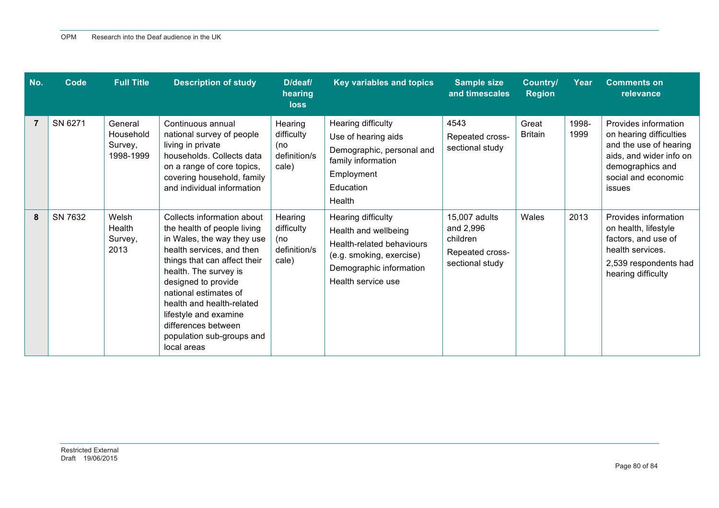| No. | Code    | <b>Full Title</b>                            | <b>Description of study</b>                                                                                                                                                                                                                                                                                                                            | D/deaf/<br>hearing<br><b>loss</b>                     | <b>Key variables and topics</b>                                                                                                                      | <b>Sample size</b><br>and timescales                                         | Country/<br><b>Region</b> | Year          | <b>Comments on</b><br>relevance                                                                                                                           |
|-----|---------|----------------------------------------------|--------------------------------------------------------------------------------------------------------------------------------------------------------------------------------------------------------------------------------------------------------------------------------------------------------------------------------------------------------|-------------------------------------------------------|------------------------------------------------------------------------------------------------------------------------------------------------------|------------------------------------------------------------------------------|---------------------------|---------------|-----------------------------------------------------------------------------------------------------------------------------------------------------------|
| 7   | SN 6271 | General<br>Household<br>Survey,<br>1998-1999 | Continuous annual<br>national survey of people<br>living in private<br>households. Collects data<br>on a range of core topics,<br>covering household, family<br>and individual information                                                                                                                                                             | Hearing<br>difficulty<br>(no<br>definition/s<br>cale) | Hearing difficulty<br>Use of hearing aids<br>Demographic, personal and<br>family information<br>Employment<br>Education<br>Health                    | 4543<br>Repeated cross-<br>sectional study                                   | Great<br><b>Britain</b>   | 1998-<br>1999 | Provides information<br>on hearing difficulties<br>and the use of hearing<br>aids, and wider info on<br>demographics and<br>social and economic<br>issues |
| 8   | SN 7632 | Welsh<br>Health<br>Survey,<br>2013           | Collects information about<br>the health of people living<br>in Wales, the way they use<br>health services, and then<br>things that can affect their<br>health. The survey is<br>designed to provide<br>national estimates of<br>health and health-related<br>lifestyle and examine<br>differences between<br>population sub-groups and<br>local areas | Hearing<br>difficulty<br>(no<br>definition/s<br>cale) | Hearing difficulty<br>Health and wellbeing<br>Health-related behaviours<br>(e.g. smoking, exercise)<br>Demographic information<br>Health service use | 15,007 adults<br>and 2,996<br>children<br>Repeated cross-<br>sectional study | Wales                     | 2013          | Provides information<br>on health, lifestyle<br>factors, and use of<br>health services.<br>2,539 respondents had<br>hearing difficulty                    |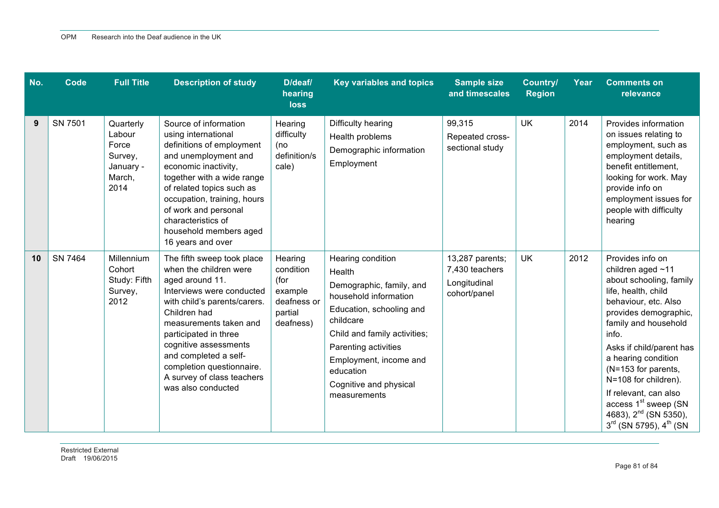| No. | Code    | <b>Full Title</b>                                                      | <b>Description of study</b>                                                                                                                                                                                                                                                                                                                | D/deaf/<br>hearing<br><b>loss</b>                                              | <b>Key variables and topics</b>                                                                                                                                                                                                                                    | <b>Sample size</b><br>and timescales                              | <b>Country/</b><br><b>Region</b> | Year | <b>Comments on</b><br>relevance                                                                                                                                                                                                                                                                                                                                                                                     |
|-----|---------|------------------------------------------------------------------------|--------------------------------------------------------------------------------------------------------------------------------------------------------------------------------------------------------------------------------------------------------------------------------------------------------------------------------------------|--------------------------------------------------------------------------------|--------------------------------------------------------------------------------------------------------------------------------------------------------------------------------------------------------------------------------------------------------------------|-------------------------------------------------------------------|----------------------------------|------|---------------------------------------------------------------------------------------------------------------------------------------------------------------------------------------------------------------------------------------------------------------------------------------------------------------------------------------------------------------------------------------------------------------------|
| 9   | SN 7501 | Quarterly<br>Labour<br>Force<br>Survey,<br>January -<br>March,<br>2014 | Source of information<br>using international<br>definitions of employment<br>and unemployment and<br>economic inactivity,<br>together with a wide range<br>of related topics such as<br>occupation, training, hours<br>of work and personal<br>characteristics of<br>household members aged<br>16 years and over                           | Hearing<br>difficulty<br>(no<br>definition/s<br>cale)                          | Difficulty hearing<br>Health problems<br>Demographic information<br>Employment                                                                                                                                                                                     | 99,315<br>Repeated cross-<br>sectional study                      | <b>UK</b>                        | 2014 | Provides information<br>on issues relating to<br>employment, such as<br>employment details,<br>benefit entitlement,<br>looking for work. May<br>provide info on<br>employment issues for<br>people with difficulty<br>hearing                                                                                                                                                                                       |
| 10  | SN 7464 | Millennium<br>Cohort<br>Study: Fifth<br>Survey,<br>2012                | The fifth sweep took place<br>when the children were<br>aged around 11.<br>Interviews were conducted<br>with child's parents/carers.<br>Children had<br>measurements taken and<br>participated in three<br>cognitive assessments<br>and completed a self-<br>completion questionnaire.<br>A survey of class teachers<br>was also conducted | Hearing<br>condition<br>(for<br>example<br>deafness or<br>partial<br>deafness) | Hearing condition<br>Health<br>Demographic, family, and<br>household information<br>Education, schooling and<br>childcare<br>Child and family activities;<br>Parenting activities<br>Employment, income and<br>education<br>Cognitive and physical<br>measurements | 13,287 parents;<br>7,430 teachers<br>Longitudinal<br>cohort/panel | UK                               | 2012 | Provides info on<br>children aged $~11$<br>about schooling, family<br>life, health, child<br>behaviour, etc. Also<br>provides demographic,<br>family and household<br>info.<br>Asks if child/parent has<br>a hearing condition<br>(N=153 for parents,<br>N=108 for children).<br>If relevant, can also<br>access 1 <sup>st</sup> sweep (SN<br>4683), 2 <sup>nd</sup> (SN 5350),<br>$3^{rd}$ (SN 5795), $4^{th}$ (SN |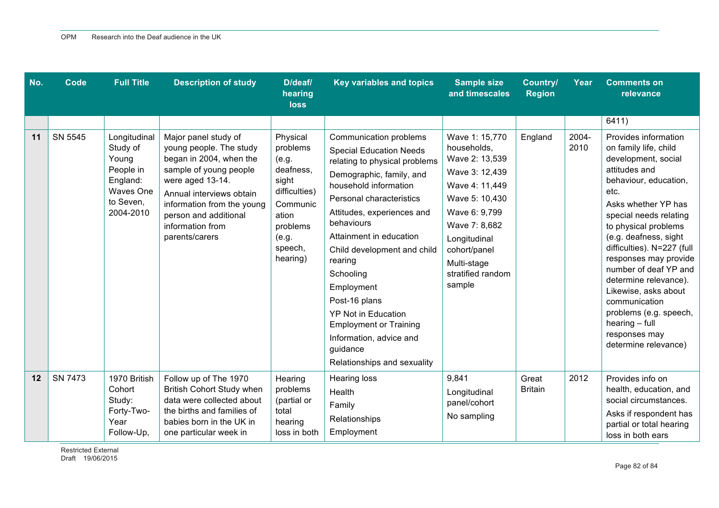| No. | Code    | <b>Full Title</b>                                                                                 | <b>Description of study</b>                                                                                                                                                                                                                       | D/deaf/<br>hearing<br><b>loss</b>                                                                                                     | <b>Key variables and topics</b>                                                                                                                                                                                                                                                                                                                                                                                                                                              | <b>Sample size</b><br>and timescales                                                                                                                                                                                  | <b>Country/</b><br><b>Region</b> | Year          | <b>Comments on</b><br>relevance                                                                                                                                                                                                                                                                                                                                                                                                                                   |
|-----|---------|---------------------------------------------------------------------------------------------------|---------------------------------------------------------------------------------------------------------------------------------------------------------------------------------------------------------------------------------------------------|---------------------------------------------------------------------------------------------------------------------------------------|------------------------------------------------------------------------------------------------------------------------------------------------------------------------------------------------------------------------------------------------------------------------------------------------------------------------------------------------------------------------------------------------------------------------------------------------------------------------------|-----------------------------------------------------------------------------------------------------------------------------------------------------------------------------------------------------------------------|----------------------------------|---------------|-------------------------------------------------------------------------------------------------------------------------------------------------------------------------------------------------------------------------------------------------------------------------------------------------------------------------------------------------------------------------------------------------------------------------------------------------------------------|
|     |         |                                                                                                   |                                                                                                                                                                                                                                                   |                                                                                                                                       |                                                                                                                                                                                                                                                                                                                                                                                                                                                                              |                                                                                                                                                                                                                       |                                  |               | 6411)                                                                                                                                                                                                                                                                                                                                                                                                                                                             |
| 11  | SN 5545 | Longitudinal<br>Study of<br>Young<br>People in<br>England:<br>Waves One<br>to Seven,<br>2004-2010 | Major panel study of<br>young people. The study<br>began in 2004, when the<br>sample of young people<br>were aged 13-14.<br>Annual interviews obtain<br>information from the young<br>person and additional<br>information from<br>parents/carers | Physical<br>problems<br>(e.g.<br>deafness,<br>sight<br>difficulties)<br>Communic<br>ation<br>problems<br>(e.g.<br>speech,<br>hearing) | Communication problems<br><b>Special Education Needs</b><br>relating to physical problems<br>Demographic, family, and<br>household information<br>Personal characteristics<br>Attitudes, experiences and<br>behaviours<br>Attainment in education<br>Child development and child<br>rearing<br>Schooling<br>Employment<br>Post-16 plans<br><b>YP Not in Education</b><br><b>Employment or Training</b><br>Information, advice and<br>guidance<br>Relationships and sexuality | Wave 1: 15,770<br>households,<br>Wave 2: 13,539<br>Wave 3: 12,439<br>Wave 4: 11,449<br>Wave 5: 10,430<br>Wave 6: 9,799<br>Wave 7: 8,682<br>Longitudinal<br>cohort/panel<br>Multi-stage<br>stratified random<br>sample | England                          | 2004-<br>2010 | Provides information<br>on family life, child<br>development, social<br>attitudes and<br>behaviour, education,<br>etc.<br>Asks whether YP has<br>special needs relating<br>to physical problems<br>(e.g. deafness, sight<br>difficulties). N=227 (full<br>responses may provide<br>number of deaf YP and<br>determine relevance).<br>Likewise, asks about<br>communication<br>problems (e.g. speech,<br>$hearing - full$<br>responses may<br>determine relevance) |
| 12  | SN 7473 | 1970 British<br>Cohort<br>Study:<br>Forty-Two-<br>Year<br>Follow-Up,                              | Follow up of The 1970<br><b>British Cohort Study when</b><br>data were collected about<br>the births and families of<br>babies born in the UK in<br>one particular week in                                                                        | Hearing<br>problems<br>(partial or<br>total<br>hearing<br>loss in both                                                                | <b>Hearing loss</b><br><b>Health</b><br>Family<br>Relationships<br>Employment                                                                                                                                                                                                                                                                                                                                                                                                | 9,841<br>Longitudinal<br>panel/cohort<br>No sampling                                                                                                                                                                  | Great<br><b>Britain</b>          | 2012          | Provides info on<br>health, education, and<br>social circumstances.<br>Asks if respondent has<br>partial or total hearing<br>loss in both ears                                                                                                                                                                                                                                                                                                                    |

Restricted External Draft 19/06/2015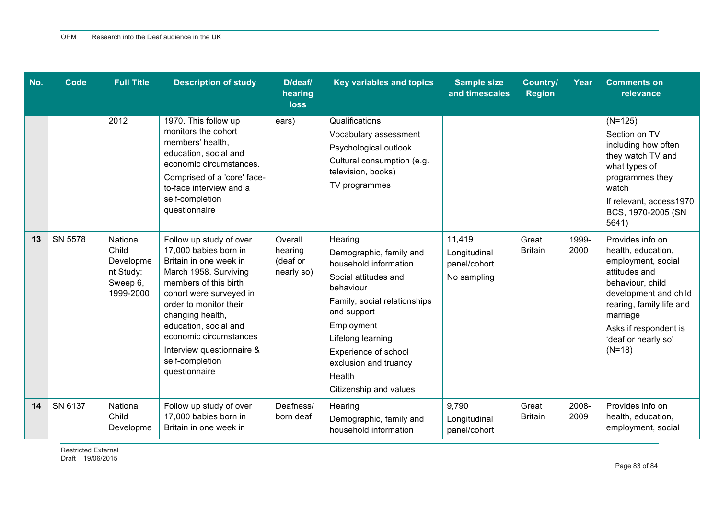| No. | <b>Code</b> | <b>Full Title</b>                                                    | <b>Description of study</b>                                                                                                                                                                                                                                                                                               | D/deaf/<br>hearing<br><b>loss</b>            | Key variables and topics                                                                                                                                                                                                                                                | <b>Sample size</b><br>and timescales                  | <b>Country/</b><br><b>Region</b> | Year          | <b>Comments on</b><br>relevance                                                                                                                                                                                                |
|-----|-------------|----------------------------------------------------------------------|---------------------------------------------------------------------------------------------------------------------------------------------------------------------------------------------------------------------------------------------------------------------------------------------------------------------------|----------------------------------------------|-------------------------------------------------------------------------------------------------------------------------------------------------------------------------------------------------------------------------------------------------------------------------|-------------------------------------------------------|----------------------------------|---------------|--------------------------------------------------------------------------------------------------------------------------------------------------------------------------------------------------------------------------------|
|     |             | 2012                                                                 | 1970. This follow up<br>monitors the cohort<br>members' health,<br>education, social and<br>economic circumstances.<br>Comprised of a 'core' face-<br>to-face interview and a<br>self-completion<br>questionnaire                                                                                                         | ears)                                        | Qualifications<br>Vocabulary assessment<br>Psychological outlook<br>Cultural consumption (e.g.<br>television, books)<br>TV programmes                                                                                                                                   |                                                       |                                  |               | $(N=125)$<br>Section on TV,<br>including how often<br>they watch TV and<br>what types of<br>programmes they<br>watch<br>If relevant, access1970<br>BCS, 1970-2005 (SN<br>5641)                                                 |
| 13  | SN 5578     | National<br>Child<br>Developme<br>nt Study:<br>Sweep 6,<br>1999-2000 | Follow up study of over<br>17,000 babies born in<br>Britain in one week in<br>March 1958. Surviving<br>members of this birth<br>cohort were surveyed in<br>order to monitor their<br>changing health,<br>education, social and<br>economic circumstances<br>Interview questionnaire &<br>self-completion<br>questionnaire | Overall<br>hearing<br>(deaf or<br>nearly so) | Hearing<br>Demographic, family and<br>household information<br>Social attitudes and<br>behaviour<br>Family, social relationships<br>and support<br>Employment<br>Lifelong learning<br>Experience of school<br>exclusion and truancy<br>Health<br>Citizenship and values | 11,419<br>Longitudinal<br>panel/cohort<br>No sampling | Great<br><b>Britain</b>          | 1999-<br>2000 | Provides info on<br>health, education,<br>employment, social<br>attitudes and<br>behaviour, child<br>development and child<br>rearing, family life and<br>marriage<br>Asks if respondent is<br>'deaf or nearly so'<br>$(N=18)$ |
| 14  | SN 6137     | National<br>Child<br>Developme                                       | Follow up study of over<br>17,000 babies born in<br>Britain in one week in                                                                                                                                                                                                                                                | Deafness/<br>born deaf                       | Hearing<br>Demographic, family and<br>household information                                                                                                                                                                                                             | 9,790<br>Longitudinal<br>panel/cohort                 | Great<br><b>Britain</b>          | 2008-<br>2009 | Provides info on<br>health, education,<br>employment, social                                                                                                                                                                   |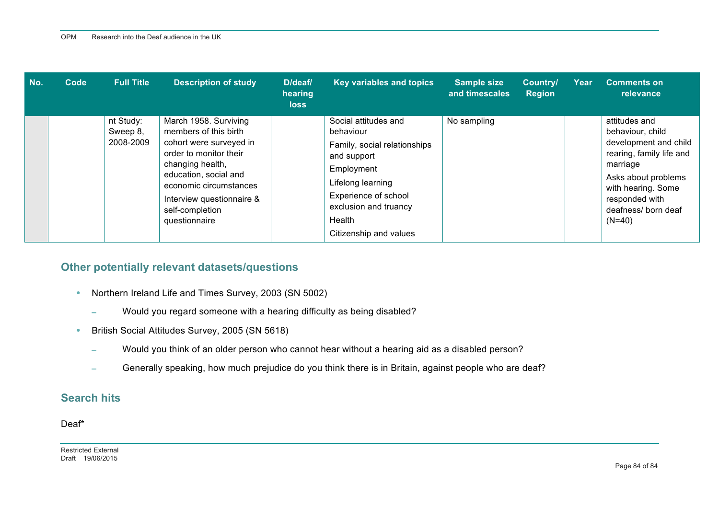| No. | Code | <b>Full Title</b>                  | <b>Description of study</b>                                                                                                                                                                                                                 | D/deaf/<br>hearing<br>loss | Key variables and topics                                                                                                                                                                                 | <b>Sample size</b><br>and timescales | Country/<br><b>Region</b> | Year | <b>Comments on</b><br>relevance                                                                                                                                                                      |
|-----|------|------------------------------------|---------------------------------------------------------------------------------------------------------------------------------------------------------------------------------------------------------------------------------------------|----------------------------|----------------------------------------------------------------------------------------------------------------------------------------------------------------------------------------------------------|--------------------------------------|---------------------------|------|------------------------------------------------------------------------------------------------------------------------------------------------------------------------------------------------------|
|     |      | nt Study:<br>Sweep 8,<br>2008-2009 | March 1958. Surviving<br>members of this birth<br>cohort were surveyed in<br>order to monitor their<br>changing health,<br>education, social and<br>economic circumstances<br>Interview questionnaire &<br>self-completion<br>questionnaire |                            | Social attitudes and<br>behaviour<br>Family, social relationships<br>and support<br>Employment<br>Lifelong learning<br>Experience of school<br>exclusion and truancy<br>Health<br>Citizenship and values | No sampling                          |                           |      | attitudes and<br>behaviour, child<br>development and child<br>rearing, family life and<br>marriage<br>Asks about problems<br>with hearing. Some<br>responded with<br>deafness/ born deaf<br>$(N=40)$ |

### **Other potentially relevant datasets/questions**

- Northern Ireland Life and Times Survey, 2003 (SN 5002)
	- − Would you regard someone with a hearing difficulty as being disabled?
- British Social Attitudes Survey, 2005 (SN 5618)
	- − Would you think of an older person who cannot hear without a hearing aid as a disabled person?
	- Generally speaking, how much prejudice do you think there is in Britain, against people who are deaf?

### **Search hits**

Deaf\*

Restricted External Draft 19/06/2015